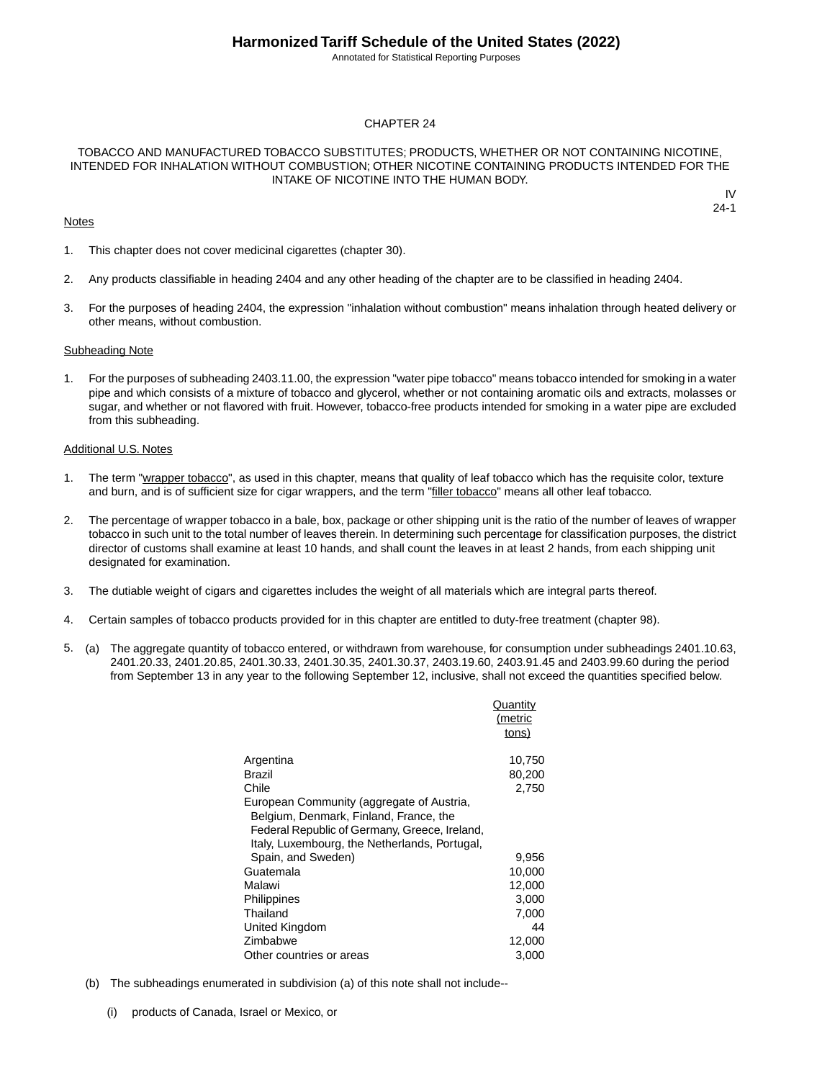Annotated for Statistical Reporting Purposes

#### CHAPTER 24

#### TOBACCO AND MANUFACTURED TOBACCO SUBSTITUTES; PRODUCTS, WHETHER OR NOT CONTAINING NICOTINE, INTENDED FOR INHALATION WITHOUT COMBUSTION; OTHER NICOTINE CONTAINING PRODUCTS INTENDED FOR THE INTAKE OF NICOTINE INTO THE HUMAN BODY.

#### **Notes**

IV 24-1

- 1. This chapter does not cover medicinal cigarettes (chapter 30).
- 2. Any products classifiable in heading 2404 and any other heading of the chapter are to be classified in heading 2404.
- 3. For the purposes of heading 2404, the expression "inhalation without combustion" means inhalation through heated delivery or other means, without combustion.

#### Subheading Note

1. For the purposes of subheading 2403.11.00, the expression "water pipe tobacco" means tobacco intended for smoking in a water pipe and which consists of a mixture of tobacco and glycerol, whether or not containing aromatic oils and extracts, molasses or sugar, and whether or not flavored with fruit. However, tobacco-free products intended for smoking in a water pipe are excluded from this subheading.

#### Additional U.S. Notes

- 1. The term "wrapper tobacco", as used in this chapter, means that quality of leaf tobacco which has the requisite color, texture and burn, and is of sufficient size for cigar wrappers, and the term "filler tobacco" means all other leaf tobacco.
- 2. The percentage of wrapper tobacco in a bale, box, package or other shipping unit is the ratio of the number of leaves of wrapper tobacco in such unit to the total number of leaves therein. In determining such percentage for classification purposes, the district director of customs shall examine at least 10 hands, and shall count the leaves in at least 2 hands, from each shipping unit designated for examination.
- 3. The dutiable weight of cigars and cigarettes includes the weight of all materials which are integral parts thereof.
- 4. Certain samples of tobacco products provided for in this chapter are entitled to duty-free treatment (chapter 98).
- 5. (a) The aggregate quantity of tobacco entered, or withdrawn from warehouse, for consumption under subheadings 2401.10.63, 2401.20.33, 2401.20.85, 2401.30.33, 2401.30.35, 2401.30.37, 2403.19.60, 2403.91.45 and 2403.99.60 during the period from September 13 in any year to the following September 12, inclusive, shall not exceed the quantities specified below.

|                                                                                                                                                                                       | Quantity<br>(metric<br>tons) |
|---------------------------------------------------------------------------------------------------------------------------------------------------------------------------------------|------------------------------|
| Argentina                                                                                                                                                                             | 10,750                       |
| Brazil                                                                                                                                                                                | 80,200                       |
| Chile                                                                                                                                                                                 | 2,750                        |
| European Community (aggregate of Austria,<br>Belgium, Denmark, Finland, France, the<br>Federal Republic of Germany, Greece, Ireland,<br>Italy, Luxembourg, the Netherlands, Portugal, |                              |
| Spain, and Sweden)                                                                                                                                                                    | 9,956                        |
| Guatemala                                                                                                                                                                             | 10,000                       |
| Malawi                                                                                                                                                                                | 12,000                       |
| Philippines                                                                                                                                                                           | 3,000                        |
| Thailand                                                                                                                                                                              | 7,000                        |
| United Kingdom                                                                                                                                                                        | 44                           |
| Zimbabwe                                                                                                                                                                              | 12,000                       |
| Other countries or areas                                                                                                                                                              | 3,000                        |

- (b) The subheadings enumerated in subdivision (a) of this note shall not include--
	- (i) products of Canada, Israel or Mexico, or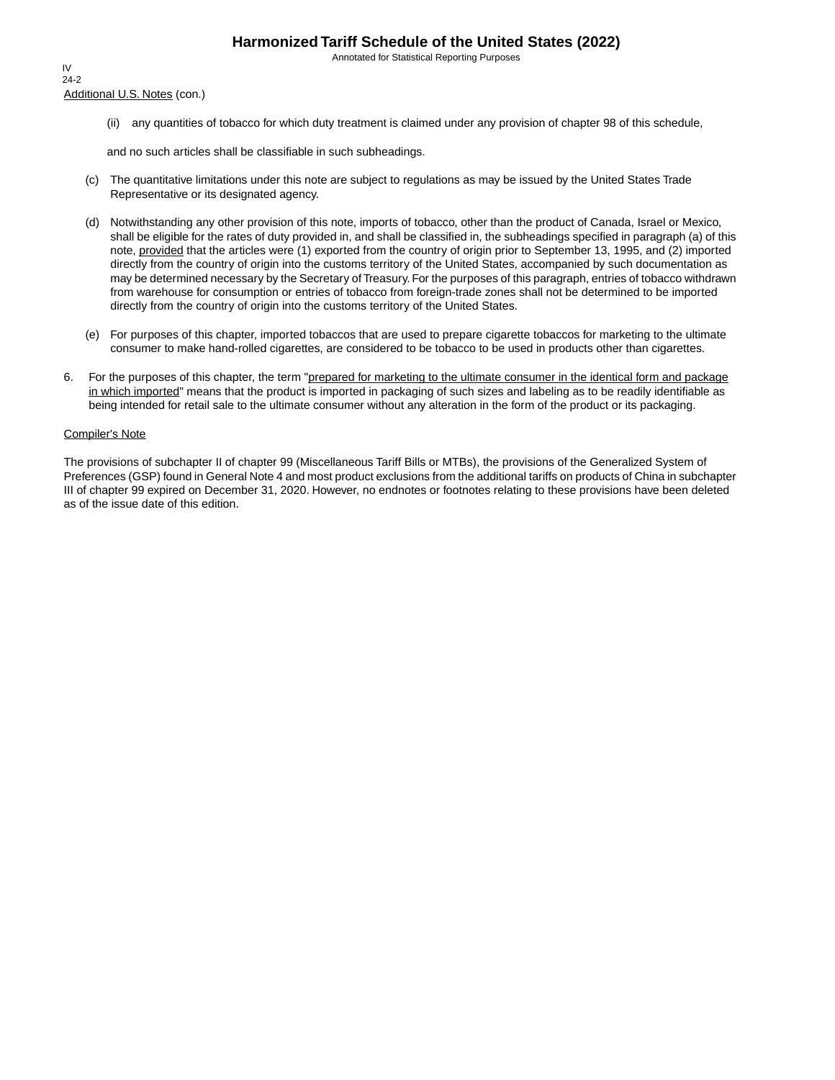Annotated for Statistical Reporting Purposes

Additional U.S. Notes (con.) IV 24-2

(ii) any quantities of tobacco for which duty treatment is claimed under any provision of chapter 98 of this schedule,

and no such articles shall be classifiable in such subheadings.

- (c) The quantitative limitations under this note are subject to regulations as may be issued by the United States Trade Representative or its designated agency.
- (d) Notwithstanding any other provision of this note, imports of tobacco, other than the product of Canada, Israel or Mexico, shall be eligible for the rates of duty provided in, and shall be classified in, the subheadings specified in paragraph (a) of this note, provided that the articles were (1) exported from the country of origin prior to September 13, 1995, and (2) imported directly from the country of origin into the customs territory of the United States, accompanied by such documentation as may be determined necessary by the Secretary of Treasury. For the purposes of this paragraph, entries of tobacco withdrawn from warehouse for consumption or entries of tobacco from foreign-trade zones shall not be determined to be imported directly from the country of origin into the customs territory of the United States.
- (e) For purposes of this chapter, imported tobaccos that are used to prepare cigarette tobaccos for marketing to the ultimate consumer to make hand-rolled cigarettes, are considered to be tobacco to be used in products other than cigarettes.
- 6. For the purposes of this chapter, the term "prepared for marketing to the ultimate consumer in the identical form and package in which imported" means that the product is imported in packaging of such sizes and labeling as to be readily identifiable as being intended for retail sale to the ultimate consumer without any alteration in the form of the product or its packaging.

#### Compiler's Note

The provisions of subchapter II of chapter 99 (Miscellaneous Tariff Bills or MTBs), the provisions of the Generalized System of Preferences (GSP) found in General Note 4 and most product exclusions from the additional tariffs on products of China in subchapter III of chapter 99 expired on December 31, 2020. However, no endnotes or footnotes relating to these provisions have been deleted as of the issue date of this edition.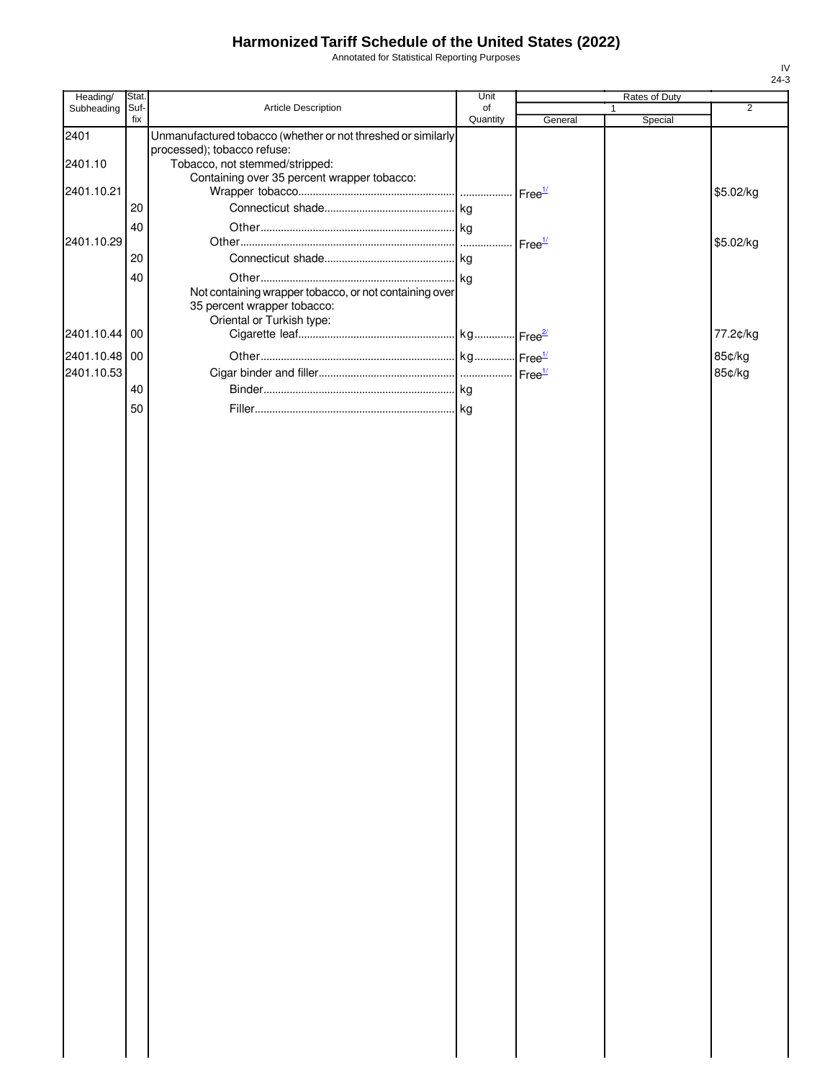Annotated for Statistical Reporting Purposes

| Heading/      | Stat.       |                                                                               | Unit           |         |             | Rates of Duty |                |
|---------------|-------------|-------------------------------------------------------------------------------|----------------|---------|-------------|---------------|----------------|
| Subheading    | Suf-<br>fix | Article Description                                                           | of<br>Quantity | General | $\mathbf 1$ | Special       | $\overline{2}$ |
| 2401          |             | Unmanufactured tobacco (whether or not threshed or similarly                  |                |         |             |               |                |
|               |             | processed); tobacco refuse:                                                   |                |         |             |               |                |
| 2401.10       |             | Tobacco, not stemmed/stripped:<br>Containing over 35 percent wrapper tobacco: |                |         |             |               |                |
| 2401.10.21    |             |                                                                               |                |         |             |               | \$5.02/kg      |
|               | 20          |                                                                               |                |         |             |               |                |
|               | 40          |                                                                               |                |         |             |               |                |
| 2401.10.29    |             |                                                                               |                |         |             |               | \$5.02/kg      |
|               | 20          |                                                                               |                |         |             |               |                |
|               | 40          |                                                                               |                |         |             |               |                |
|               |             | Not containing wrapper tobacco, or not containing over                        |                |         |             |               |                |
|               |             | 35 percent wrapper tobacco:<br>Oriental or Turkish type:                      |                |         |             |               |                |
| 2401.10.44 00 |             |                                                                               |                |         |             |               | 77.2¢/kg       |
| 2401.10.48 00 |             |                                                                               |                |         |             |               | 85¢/kg         |
| 2401.10.53    |             |                                                                               |                |         |             |               | 85¢/kg         |
|               | 40          |                                                                               |                |         |             |               |                |
|               | 50          |                                                                               |                |         |             |               |                |
|               |             |                                                                               |                |         |             |               |                |
|               |             |                                                                               |                |         |             |               |                |
|               |             |                                                                               |                |         |             |               |                |
|               |             |                                                                               |                |         |             |               |                |
|               |             |                                                                               |                |         |             |               |                |
|               |             |                                                                               |                |         |             |               |                |
|               |             |                                                                               |                |         |             |               |                |
|               |             |                                                                               |                |         |             |               |                |
|               |             |                                                                               |                |         |             |               |                |
|               |             |                                                                               |                |         |             |               |                |
|               |             |                                                                               |                |         |             |               |                |
|               |             |                                                                               |                |         |             |               |                |
|               |             |                                                                               |                |         |             |               |                |
|               |             |                                                                               |                |         |             |               |                |
|               |             |                                                                               |                |         |             |               |                |
|               |             |                                                                               |                |         |             |               |                |
|               |             |                                                                               |                |         |             |               |                |
|               |             |                                                                               |                |         |             |               |                |
|               |             |                                                                               |                |         |             |               |                |
|               |             |                                                                               |                |         |             |               |                |
|               |             |                                                                               |                |         |             |               |                |
|               |             |                                                                               |                |         |             |               |                |
|               |             |                                                                               |                |         |             |               |                |
|               |             |                                                                               |                |         |             |               |                |
|               |             |                                                                               |                |         |             |               |                |
|               |             |                                                                               |                |         |             |               |                |
|               |             |                                                                               |                |         |             |               |                |
|               |             |                                                                               |                |         |             |               |                |
|               |             |                                                                               |                |         |             |               |                |
|               |             |                                                                               |                |         |             |               |                |
|               |             |                                                                               |                |         |             |               |                |
|               |             |                                                                               |                |         |             |               |                |
|               |             |                                                                               |                |         |             |               |                |
|               |             |                                                                               |                |         |             |               |                |
|               |             |                                                                               |                |         |             |               |                |
|               |             |                                                                               |                |         |             |               |                |
|               |             |                                                                               |                |         |             |               |                |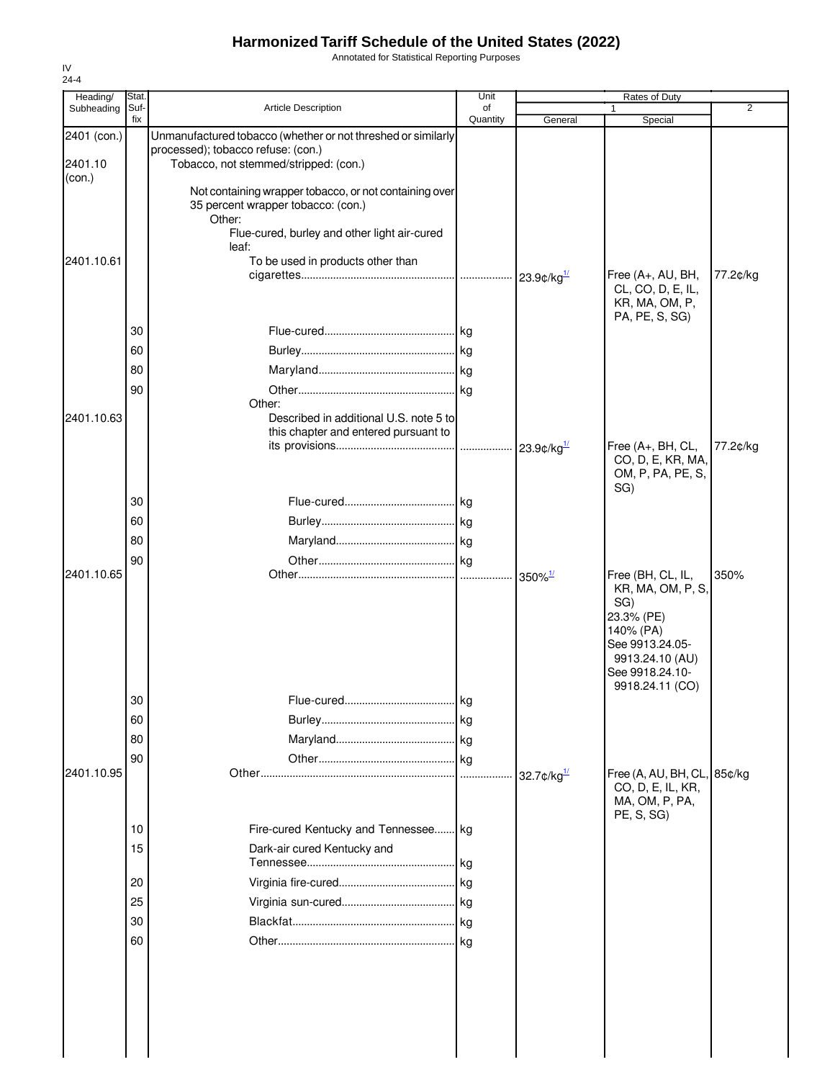Annotated for Statistical Reporting Purposes

| Heading/    | Stat.       |                                                                             | Unit           |                                              | Rates of Duty                          |                |
|-------------|-------------|-----------------------------------------------------------------------------|----------------|----------------------------------------------|----------------------------------------|----------------|
| Subheading  | Suf-<br>fix | <b>Article Description</b>                                                  | of<br>Quantity | General                                      | Special                                | $\overline{2}$ |
| 2401 (con.) |             | Unmanufactured tobacco (whether or not threshed or similarly                |                |                                              |                                        |                |
| 2401.10     |             | processed); tobacco refuse: (con.)<br>Tobacco, not stemmed/stripped: (con.) |                |                                              |                                        |                |
| (con.)      |             |                                                                             |                |                                              |                                        |                |
|             |             | Not containing wrapper tobacco, or not containing over                      |                |                                              |                                        |                |
|             |             | 35 percent wrapper tobacco: (con.)<br>Other:                                |                |                                              |                                        |                |
|             |             | Flue-cured, burley and other light air-cured                                |                |                                              |                                        |                |
|             |             | leaf:                                                                       |                |                                              |                                        |                |
| 2401.10.61  |             | To be used in products other than                                           |                |                                              | Free (A+, AU, BH,                      | 77.2¢/kg       |
|             |             |                                                                             |                |                                              | CL, CO, D, E, IL,                      |                |
|             |             |                                                                             |                |                                              | KR, MA, OM, P,                         |                |
|             | 30          |                                                                             |                |                                              | PA, PE, S, SG)                         |                |
|             | 60          |                                                                             |                |                                              |                                        |                |
|             |             |                                                                             |                |                                              |                                        |                |
|             | 80          |                                                                             |                |                                              |                                        |                |
|             | 90          | Other:                                                                      |                |                                              |                                        |                |
| 2401.10.63  |             | Described in additional U.S. note 5 to                                      |                |                                              |                                        |                |
|             |             | this chapter and entered pursuant to                                        |                |                                              |                                        |                |
|             |             |                                                                             |                |                                              | Free (A+, BH, CL,<br>CO, D, E, KR, MA, | 77.2¢/kg       |
|             |             |                                                                             |                |                                              | OM, P, PA, PE, S,                      |                |
|             |             |                                                                             |                |                                              | SG)                                    |                |
|             | 30          |                                                                             |                |                                              |                                        |                |
|             | 60          |                                                                             |                |                                              |                                        |                |
|             | 80          |                                                                             |                |                                              |                                        |                |
| 2401.10.65  | 90          |                                                                             |                |                                              | Free (BH, CL, IL,                      | 350%           |
|             |             |                                                                             |                | $350\%$ <sup>1/</sup>                        | KR, MA, OM, P, S,                      |                |
|             |             |                                                                             |                |                                              | SG)                                    |                |
|             |             |                                                                             |                |                                              | 23.3% (PE)<br>140% (PA)                |                |
|             |             |                                                                             |                |                                              | See 9913.24.05-                        |                |
|             |             |                                                                             |                |                                              | 9913.24.10 (AU)                        |                |
|             |             |                                                                             |                |                                              | See 9918.24.10-<br>9918.24.11 (CO)     |                |
|             | 30          |                                                                             |                |                                              |                                        |                |
|             | 60          |                                                                             |                |                                              |                                        |                |
|             | 80          |                                                                             |                |                                              |                                        |                |
|             | 90          |                                                                             |                |                                              |                                        |                |
| 2401.10.95  |             |                                                                             |                | 32.7 $\mathcal{L}/\mathsf{kg}^{\frac{1}{2}}$ | Free (A, AU, BH, CL, 85¢/kg            |                |
|             |             |                                                                             |                |                                              | CO, D, E, IL, KR,<br>MA, OM, P, PA,    |                |
|             |             |                                                                             |                |                                              | PE, S, SG)                             |                |
|             | 10          | Fire-cured Kentucky and Tennessee kg                                        |                |                                              |                                        |                |
|             | 15          | Dark-air cured Kentucky and                                                 |                |                                              |                                        |                |
|             |             |                                                                             | .lkg           |                                              |                                        |                |
|             | 20          |                                                                             |                |                                              |                                        |                |
|             | 25          |                                                                             |                |                                              |                                        |                |
|             | 30          |                                                                             |                |                                              |                                        |                |
|             | 60          |                                                                             |                |                                              |                                        |                |
|             |             |                                                                             |                |                                              |                                        |                |
|             |             |                                                                             |                |                                              |                                        |                |
|             |             |                                                                             |                |                                              |                                        |                |
|             |             |                                                                             |                |                                              |                                        |                |
|             |             |                                                                             |                |                                              |                                        |                |
|             |             |                                                                             |                |                                              |                                        |                |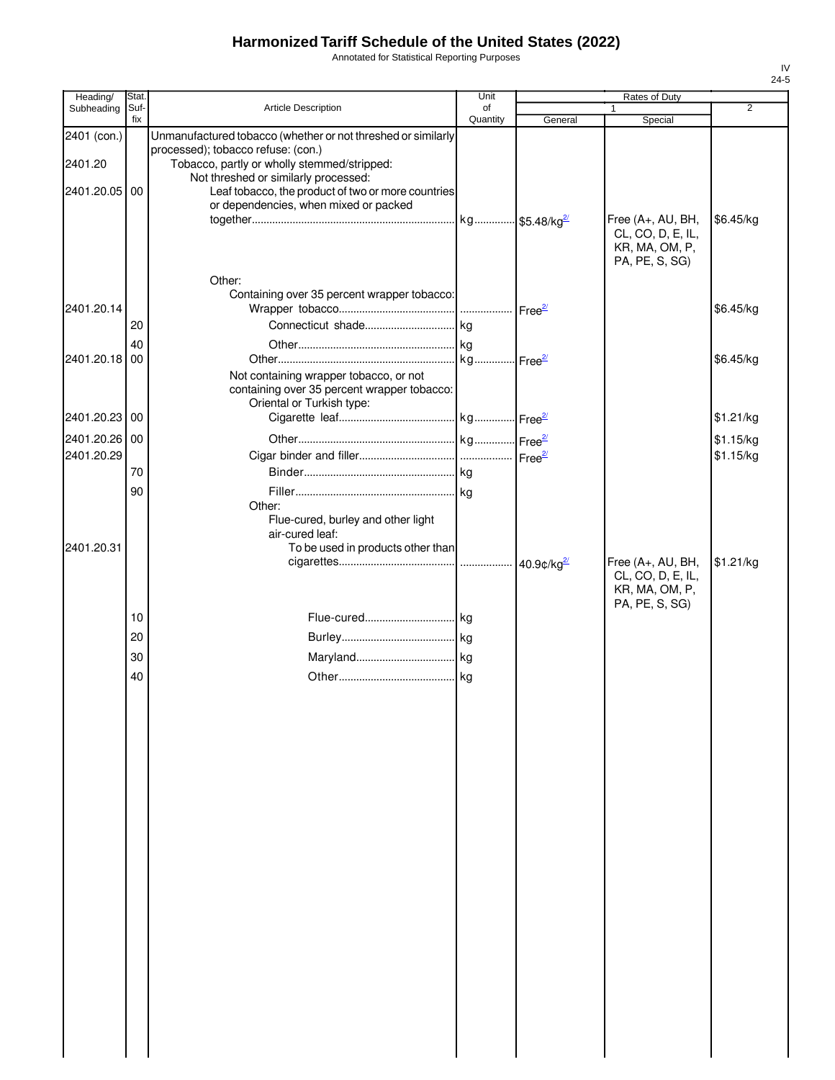Annotated for Statistical Reporting Purposes

| Heading/      | Stat.       |                                                              | Unit           |         | Rates of Duty                          |                |
|---------------|-------------|--------------------------------------------------------------|----------------|---------|----------------------------------------|----------------|
| Subheading    | Suf-<br>fix | Article Description                                          | of<br>Quantity | General | $\mathbf{1}$<br>Special                | $\overline{2}$ |
| 2401 (con.)   |             | Unmanufactured tobacco (whether or not threshed or similarly |                |         |                                        |                |
|               |             | processed); tobacco refuse: (con.)                           |                |         |                                        |                |
| 2401.20       |             | Tobacco, partly or wholly stemmed/stripped:                  |                |         |                                        |                |
|               |             | Not threshed or similarly processed:                         |                |         |                                        |                |
| 2401.20.05 00 |             | Leaf tobacco, the product of two or more countries           |                |         |                                        |                |
|               |             | or dependencies, when mixed or packed                        |                |         |                                        |                |
|               |             |                                                              |                |         | Free (A+, AU, BH,                      | \$6.45/kg      |
|               |             |                                                              |                |         | CL, CO, D, E, IL,<br>KR, MA, OM, P,    |                |
|               |             |                                                              |                |         | PA, PE, S, SG)                         |                |
|               |             | Other:                                                       |                |         |                                        |                |
|               |             | Containing over 35 percent wrapper tobacco:                  |                |         |                                        |                |
| 2401.20.14    |             |                                                              |                |         |                                        | \$6.45/kg      |
|               | 20          |                                                              |                |         |                                        |                |
|               | 40          |                                                              |                |         |                                        |                |
| 2401.20.18 00 |             |                                                              |                |         |                                        | \$6.45/kg      |
|               |             | Not containing wrapper tobacco, or not                       |                |         |                                        |                |
|               |             | containing over 35 percent wrapper tobacco:                  |                |         |                                        |                |
|               |             | Oriental or Turkish type:                                    |                |         |                                        |                |
| 2401.20.23 00 |             |                                                              |                |         |                                        | \$1.21/kg      |
| 2401.20.26 00 |             |                                                              |                |         |                                        | \$1.15/kg      |
| 2401.20.29    |             |                                                              |                |         |                                        | \$1.15/kg      |
|               | 70          |                                                              |                |         |                                        |                |
|               | 90          |                                                              |                |         |                                        |                |
|               |             | Other:                                                       |                |         |                                        |                |
|               |             | Flue-cured, burley and other light                           |                |         |                                        |                |
|               |             | air-cured leaf:                                              |                |         |                                        |                |
| 2401.20.31    |             | To be used in products other than                            |                |         |                                        |                |
|               |             |                                                              |                |         | Free (A+, AU, BH,<br>CL, CO, D, E, IL, | \$1.21/kg      |
|               |             |                                                              |                |         | KR, MA, OM, P,                         |                |
|               |             |                                                              |                |         | PA, PE, S, SG)                         |                |
|               | 10          |                                                              |                |         |                                        |                |
|               | 20          |                                                              |                |         |                                        |                |
|               | 30          |                                                              |                |         |                                        |                |
|               | 40          |                                                              |                |         |                                        |                |
|               |             |                                                              |                |         |                                        |                |
|               |             |                                                              |                |         |                                        |                |
|               |             |                                                              |                |         |                                        |                |
|               |             |                                                              |                |         |                                        |                |
|               |             |                                                              |                |         |                                        |                |
|               |             |                                                              |                |         |                                        |                |
|               |             |                                                              |                |         |                                        |                |
|               |             |                                                              |                |         |                                        |                |
|               |             |                                                              |                |         |                                        |                |
|               |             |                                                              |                |         |                                        |                |
|               |             |                                                              |                |         |                                        |                |
|               |             |                                                              |                |         |                                        |                |
|               |             |                                                              |                |         |                                        |                |
|               |             |                                                              |                |         |                                        |                |
|               |             |                                                              |                |         |                                        |                |
|               |             |                                                              |                |         |                                        |                |
|               |             |                                                              |                |         |                                        |                |
|               |             |                                                              |                |         |                                        |                |
|               |             |                                                              |                |         |                                        |                |
|               |             |                                                              |                |         |                                        |                |
|               |             |                                                              |                |         |                                        |                |
|               |             |                                                              |                |         |                                        |                |
|               |             |                                                              |                |         |                                        |                |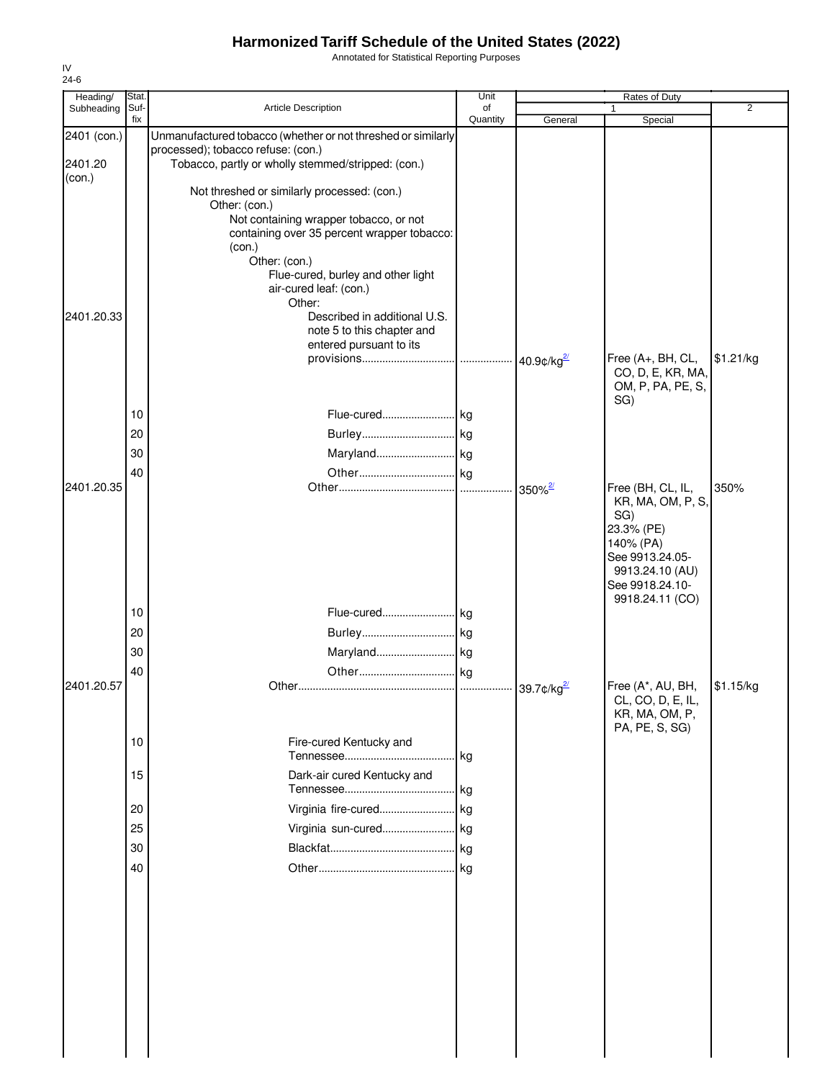Annotated for Statistical Reporting Purposes

| Heading/    | <b>Stat</b> |                                                              | Unit           |                       | Rates of Duty                          |                |
|-------------|-------------|--------------------------------------------------------------|----------------|-----------------------|----------------------------------------|----------------|
| Subheading  | Suf-<br>fix | Article Description                                          | of<br>Quantity | General               | Special                                | $\overline{2}$ |
| 2401 (con.) |             | Unmanufactured tobacco (whether or not threshed or similarly |                |                       |                                        |                |
|             |             | processed); tobacco refuse: (con.)                           |                |                       |                                        |                |
| 2401.20     |             | Tobacco, partly or wholly stemmed/stripped: (con.)           |                |                       |                                        |                |
| (con.)      |             |                                                              |                |                       |                                        |                |
|             |             | Not threshed or similarly processed: (con.)                  |                |                       |                                        |                |
|             |             | Other: (con.)<br>Not containing wrapper tobacco, or not      |                |                       |                                        |                |
|             |             | containing over 35 percent wrapper tobacco:                  |                |                       |                                        |                |
|             |             | (con.)                                                       |                |                       |                                        |                |
|             |             | Other: (con.)                                                |                |                       |                                        |                |
|             |             | Flue-cured, burley and other light                           |                |                       |                                        |                |
|             |             | air-cured leaf: (con.)<br>Other:                             |                |                       |                                        |                |
| 2401.20.33  |             | Described in additional U.S.                                 |                |                       |                                        |                |
|             |             | note 5 to this chapter and                                   |                |                       |                                        |                |
|             |             | entered pursuant to its                                      |                |                       |                                        |                |
|             |             |                                                              |                | $40.9$ ¢/kg $^{2}$    | Free (A+, BH, CL,                      | \$1.21/kg      |
|             |             |                                                              |                |                       | CO, D, E, KR, MA,<br>OM, P, PA, PE, S, |                |
|             |             |                                                              |                |                       | SG)                                    |                |
|             | 10          | Flue-cured kg                                                |                |                       |                                        |                |
|             | 20          |                                                              |                |                       |                                        |                |
|             | 30          |                                                              |                |                       |                                        |                |
|             |             |                                                              |                |                       |                                        |                |
| 2401.20.35  | 40          |                                                              |                |                       | Free (BH, CL, IL,                      | 350%           |
|             |             |                                                              |                | $350\%$ <sup>2/</sup> | KR, MA, OM, P, S,                      |                |
|             |             |                                                              |                |                       | SG)                                    |                |
|             |             |                                                              |                |                       | 23.3% (PE)                             |                |
|             |             |                                                              |                |                       | 140% (PA)                              |                |
|             |             |                                                              |                |                       | See 9913.24.05-                        |                |
|             |             |                                                              |                |                       | 9913.24.10 (AU)<br>See 9918.24.10-     |                |
|             |             |                                                              |                |                       | 9918.24.11 (CO)                        |                |
|             | 10          | Flue-cured kg                                                |                |                       |                                        |                |
|             | 20          |                                                              |                |                       |                                        |                |
|             | 30          |                                                              |                |                       |                                        |                |
|             |             |                                                              |                |                       |                                        |                |
| 2401.20.57  | 40          |                                                              |                |                       | Free (A*, AU, BH,                      | \$1.15/kg      |
|             |             |                                                              |                |                       | CL, CO, D, E, IL,                      |                |
|             |             |                                                              |                |                       | KR, MA, OM, P,                         |                |
|             |             |                                                              |                |                       | PA, PE, S, SG)                         |                |
|             | 10          | Fire-cured Kentucky and                                      |                |                       |                                        |                |
|             |             |                                                              |                |                       |                                        |                |
|             | 15          | Dark-air cured Kentucky and                                  |                |                       |                                        |                |
|             |             |                                                              |                |                       |                                        |                |
|             | 20          | Virginia fire-cured kg                                       |                |                       |                                        |                |
|             | 25          | Virginia sun-cured kg                                        |                |                       |                                        |                |
|             | 30          |                                                              |                |                       |                                        |                |
|             | 40          |                                                              |                |                       |                                        |                |
|             |             |                                                              |                |                       |                                        |                |
|             |             |                                                              |                |                       |                                        |                |
|             |             |                                                              |                |                       |                                        |                |
|             |             |                                                              |                |                       |                                        |                |
|             |             |                                                              |                |                       |                                        |                |
|             |             |                                                              |                |                       |                                        |                |
|             |             |                                                              |                |                       |                                        |                |
|             |             |                                                              |                |                       |                                        |                |
|             |             |                                                              |                |                       |                                        |                |
|             |             |                                                              |                |                       |                                        |                |
|             |             |                                                              |                |                       |                                        |                |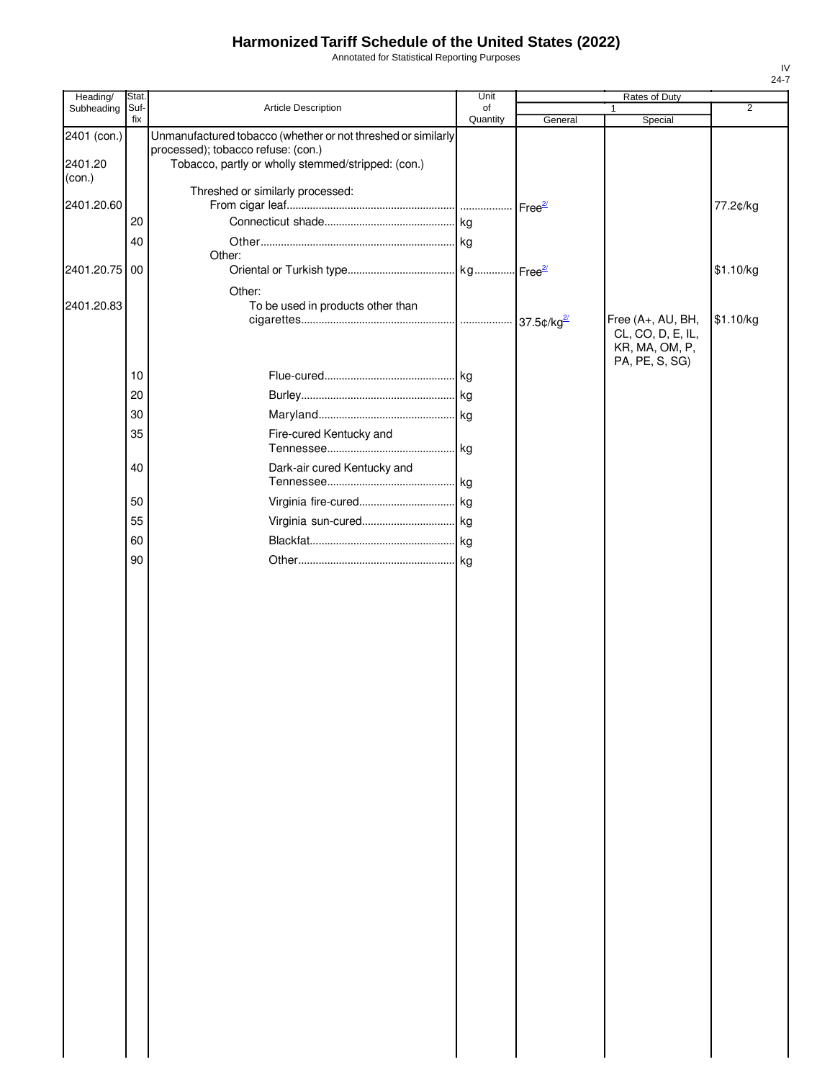Annotated for Statistical Reporting Purposes

| Suf-<br>fix   | Article Description<br>Unmanufactured tobacco (whether or not threshed or similarly      | of<br>Quantity                    | General | 1<br>Special                                                               | $\overline{2}$ |
|---------------|------------------------------------------------------------------------------------------|-----------------------------------|---------|----------------------------------------------------------------------------|----------------|
|               |                                                                                          |                                   |         |                                                                            |                |
|               | processed); tobacco refuse: (con.)<br>Tobacco, partly or wholly stemmed/stripped: (con.) |                                   |         |                                                                            |                |
|               | Threshed or similarly processed:                                                         |                                   |         |                                                                            | 77.2¢/kg       |
| 20            |                                                                                          |                                   |         |                                                                            |                |
|               |                                                                                          |                                   |         |                                                                            |                |
|               | Other:                                                                                   |                                   |         |                                                                            |                |
| 2401.20.75 00 |                                                                                          |                                   |         |                                                                            | \$1.10/kg      |
|               | Other:                                                                                   |                                   |         |                                                                            |                |
|               |                                                                                          |                                   |         | Free (A+, AU, BH,<br>CL, CO, D, E, IL,<br>KR, MA, OM, P,<br>PA, PE, S, SG) | \$1.10/kg      |
| 10            |                                                                                          |                                   |         |                                                                            |                |
| 20            |                                                                                          |                                   |         |                                                                            |                |
| 30            |                                                                                          |                                   |         |                                                                            |                |
| 35            | Fire-cured Kentucky and                                                                  |                                   |         |                                                                            |                |
| 40            | Dark-air cured Kentucky and                                                              |                                   |         |                                                                            |                |
| 50            |                                                                                          |                                   |         |                                                                            |                |
| 55            |                                                                                          |                                   |         |                                                                            |                |
| 60            |                                                                                          |                                   |         |                                                                            |                |
| 90            |                                                                                          |                                   |         |                                                                            |                |
|               |                                                                                          |                                   |         |                                                                            |                |
|               | 40                                                                                       | To be used in products other than |         |                                                                            |                |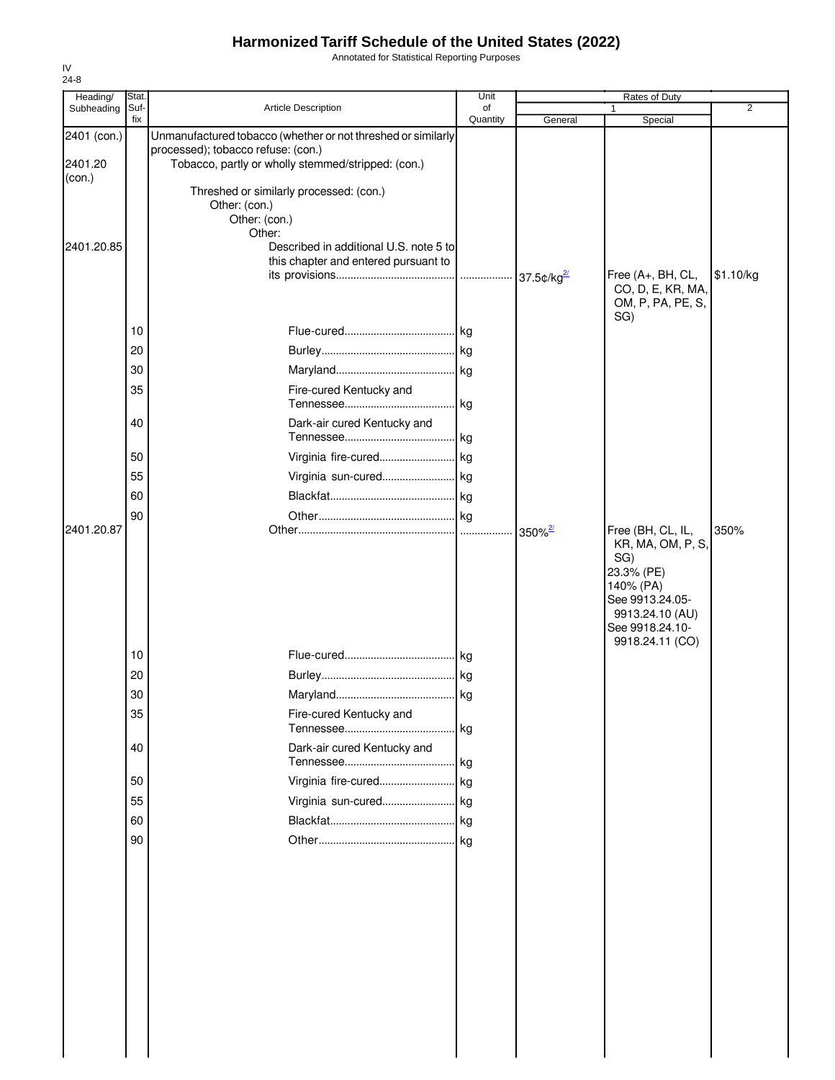Annotated for Statistical Reporting Purposes

| Heading/                         | Stat.       |                                                                                                                                                                       | Unit           | Rates of Duty      |                                                                                                                                                      |           |
|----------------------------------|-------------|-----------------------------------------------------------------------------------------------------------------------------------------------------------------------|----------------|--------------------|------------------------------------------------------------------------------------------------------------------------------------------------------|-----------|
| Subheading                       | Suf-<br>fix | Article Description                                                                                                                                                   | of<br>Quantity | General            | $\mathbf{1}$<br>Special                                                                                                                              | 2         |
| 2401 (con.)<br>2401.20<br>(con.) |             | Unmanufactured tobacco (whether or not threshed or similarly<br>processed); tobacco refuse: (con.)<br>Tobacco, partly or wholly stemmed/stripped: (con.)              |                |                    |                                                                                                                                                      |           |
| 2401.20.85                       |             | Threshed or similarly processed: (con.)<br>Other: (con.)<br>Other: (con.)<br>Other:<br>Described in additional U.S. note 5 to<br>this chapter and entered pursuant to |                |                    | Free (A+, BH, CL,<br>CO, D, E, KR, MA,                                                                                                               | \$1.10/kg |
|                                  | 10          |                                                                                                                                                                       |                |                    | OM, P, PA, PE, S,<br>SG)                                                                                                                             |           |
|                                  | 20          |                                                                                                                                                                       |                |                    |                                                                                                                                                      |           |
|                                  | 30          |                                                                                                                                                                       |                |                    |                                                                                                                                                      |           |
|                                  | 35          | Fire-cured Kentucky and                                                                                                                                               |                |                    |                                                                                                                                                      |           |
|                                  | 40          | Dark-air cured Kentucky and                                                                                                                                           |                |                    |                                                                                                                                                      |           |
|                                  | 50<br>55    | Virginia sun-cured kg                                                                                                                                                 |                |                    |                                                                                                                                                      |           |
|                                  | 60          |                                                                                                                                                                       |                |                    |                                                                                                                                                      |           |
|                                  | 90          |                                                                                                                                                                       |                |                    |                                                                                                                                                      |           |
| 2401.20.87                       |             |                                                                                                                                                                       |                | 350% $\frac{2}{2}$ | Free (BH, CL, IL,<br>KR, MA, OM, P, S,<br>SG)<br>23.3% (PE)<br>140% (PA)<br>See 9913.24.05-<br>9913.24.10 (AU)<br>See 9918.24.10-<br>9918.24.11 (CO) | 350%      |
|                                  | 10          |                                                                                                                                                                       |                |                    |                                                                                                                                                      |           |
|                                  | 20          |                                                                                                                                                                       |                |                    |                                                                                                                                                      |           |
|                                  | 30          |                                                                                                                                                                       |                |                    |                                                                                                                                                      |           |
|                                  | 35          | Fire-cured Kentucky and                                                                                                                                               |                |                    |                                                                                                                                                      |           |
|                                  | 40<br>50    | Dark-air cured Kentucky and<br>Virginia fire-cured kg                                                                                                                 |                |                    |                                                                                                                                                      |           |
|                                  | 55          | Virginia sun-cured kg                                                                                                                                                 |                |                    |                                                                                                                                                      |           |
|                                  | 60          |                                                                                                                                                                       |                |                    |                                                                                                                                                      |           |
|                                  | 90          |                                                                                                                                                                       |                |                    |                                                                                                                                                      |           |
|                                  |             |                                                                                                                                                                       |                |                    |                                                                                                                                                      |           |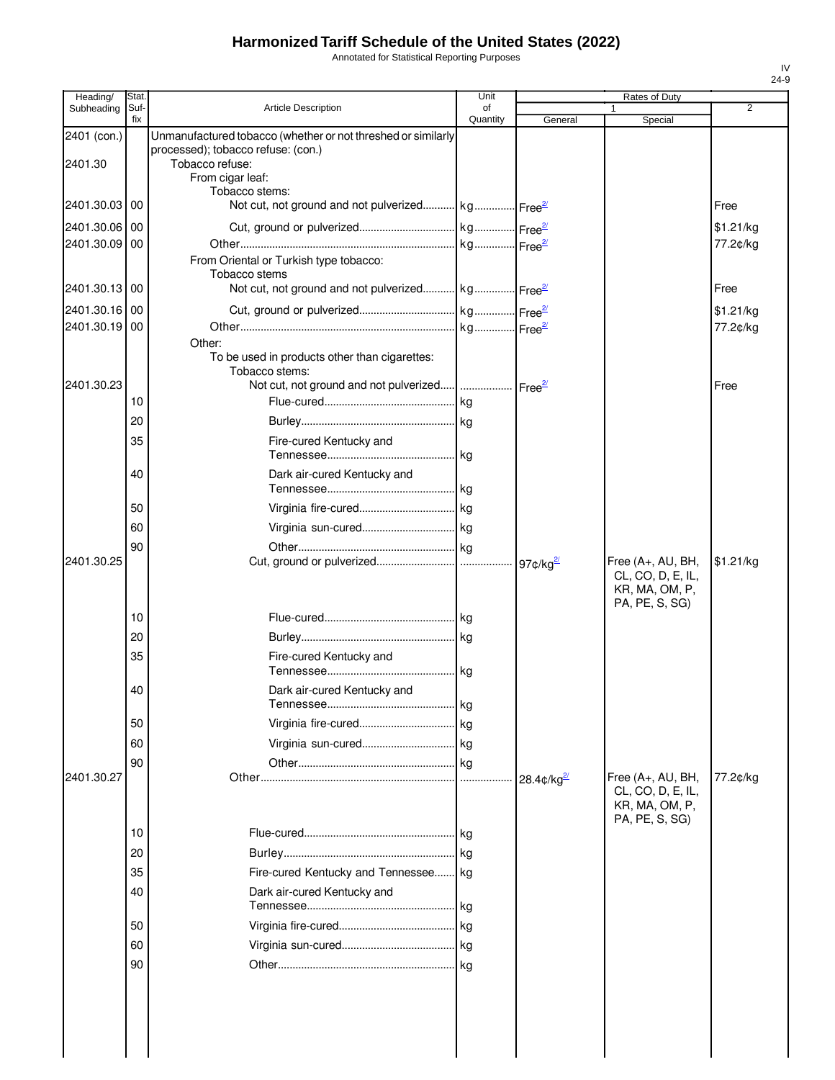Annotated for Statistical Reporting Purposes

| Heading/      | Stat.       |                                                                               | Unit           |                    | <b>Rates of Duty</b>                   |                |
|---------------|-------------|-------------------------------------------------------------------------------|----------------|--------------------|----------------------------------------|----------------|
| Subheading    | Suf-<br>fix | Article Description                                                           | οf<br>Quantity | General            | Special                                | $\overline{2}$ |
| 2401 (con.)   |             | Unmanufactured tobacco (whether or not threshed or similarly                  |                |                    |                                        |                |
|               |             | processed); tobacco refuse: (con.)                                            |                |                    |                                        |                |
| 2401.30       |             | Tobacco refuse:<br>From cigar leaf:                                           |                |                    |                                        |                |
|               |             | Tobacco stems:                                                                |                |                    |                                        |                |
| 2401.30.03    | 00          | Not cut, not ground and not pulverized kg Free <sup>21</sup>                  |                |                    |                                        | Free           |
| 2401.30.06 00 |             |                                                                               |                |                    |                                        | \$1.21/kg      |
| 2401.30.09 00 |             |                                                                               |                |                    |                                        | 77.2¢/kg       |
|               |             | From Oriental or Turkish type tobacco:                                        |                |                    |                                        |                |
| 2401.30.13    | 00          | Tobacco stems<br>Not cut, not ground and not pulverized kg Free <sup>21</sup> |                |                    |                                        | Free           |
| 2401.30.16 00 |             |                                                                               |                |                    |                                        | \$1.21/kg      |
| 2401.30.19    | 00          |                                                                               |                |                    |                                        | 77.2¢/kg       |
|               |             | Other:                                                                        |                |                    |                                        |                |
|               |             | To be used in products other than cigarettes:                                 |                |                    |                                        |                |
| 2401.30.23    |             | Tobacco stems:                                                                |                |                    |                                        | Free           |
|               | 10          |                                                                               | . kg           |                    |                                        |                |
|               | 20          |                                                                               |                |                    |                                        |                |
|               | 35          | Fire-cured Kentucky and                                                       |                |                    |                                        |                |
|               |             |                                                                               | . kg           |                    |                                        |                |
|               | 40          | Dark air-cured Kentucky and                                                   |                |                    |                                        |                |
|               |             |                                                                               |                |                    |                                        |                |
|               | 50          |                                                                               |                |                    |                                        |                |
|               | 60          |                                                                               |                |                    |                                        |                |
|               | 90          |                                                                               |                |                    |                                        |                |
| 2401.30.25    |             |                                                                               |                |                    | Free (A+, AU, BH,<br>CL, CO, D, E, IL, | \$1.21/kg      |
|               |             |                                                                               |                |                    | KR, MA, OM, P,                         |                |
|               |             |                                                                               |                |                    | PA, PE, S, SG)                         |                |
|               | 10          |                                                                               |                |                    |                                        |                |
|               | 20          |                                                                               |                |                    |                                        |                |
|               | 35          | Fire-cured Kentucky and                                                       |                |                    |                                        |                |
|               | 40          | Dark air-cured Kentucky and                                                   |                |                    |                                        |                |
|               |             |                                                                               | . I kg         |                    |                                        |                |
|               | 50          |                                                                               |                |                    |                                        |                |
|               | 60          |                                                                               |                |                    |                                        |                |
|               | 90          |                                                                               |                |                    |                                        |                |
| 2401.30.27    |             |                                                                               |                | 28.4 $\frac{2}{9}$ | Free (A+, AU, BH,                      | 77.2¢/kg       |
|               |             |                                                                               |                |                    | CL, CO, D, E, IL,<br>KR, MA, OM, P,    |                |
|               |             |                                                                               |                |                    | PA, PE, S, SG)                         |                |
|               | 10          |                                                                               |                |                    |                                        |                |
|               | 20          |                                                                               |                |                    |                                        |                |
|               | 35          | Fire-cured Kentucky and Tennessee kg                                          |                |                    |                                        |                |
|               | 40          | Dark air-cured Kentucky and                                                   |                |                    |                                        |                |
|               |             |                                                                               | .Ikg           |                    |                                        |                |
|               | 50          |                                                                               |                |                    |                                        |                |
|               | 60          |                                                                               |                |                    |                                        |                |
|               | 90          |                                                                               | <b>kg</b>      |                    |                                        |                |
|               |             |                                                                               |                |                    |                                        |                |
|               |             |                                                                               |                |                    |                                        |                |
|               |             |                                                                               |                |                    |                                        |                |
|               |             |                                                                               |                |                    |                                        |                |
|               |             |                                                                               |                |                    |                                        |                |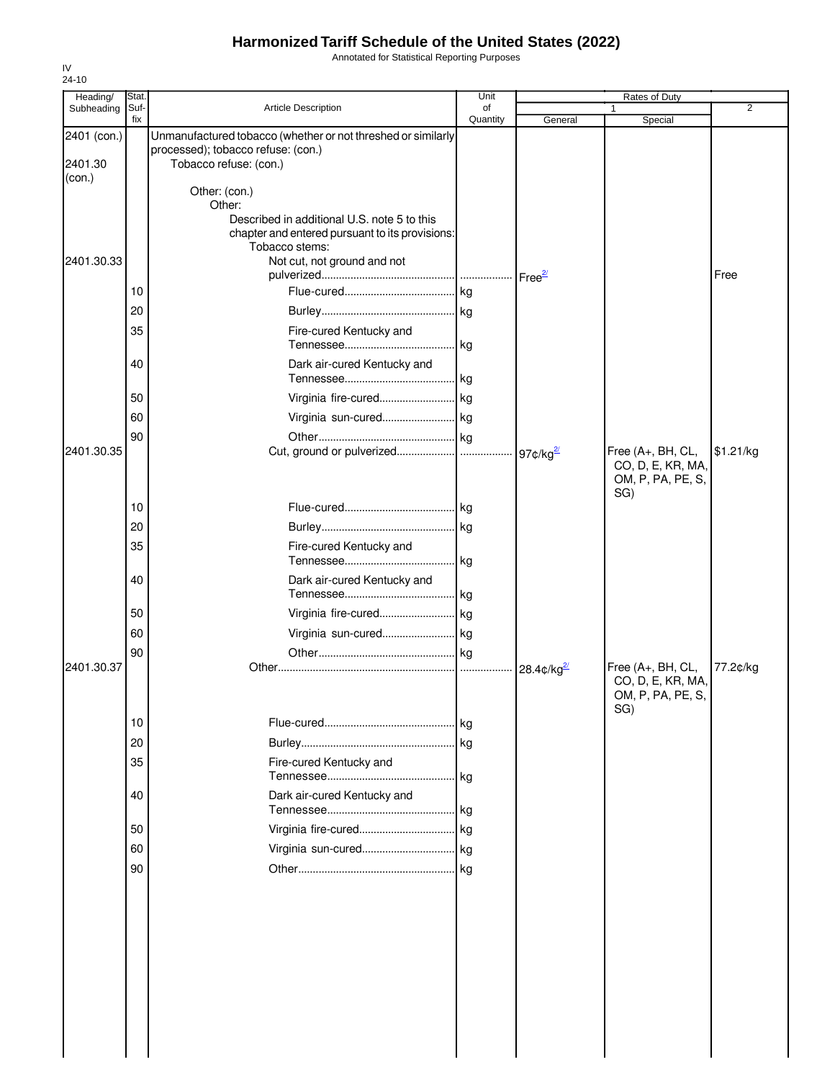Annotated for Statistical Reporting Purposes

| Heading/                         | Stat.       |                                                                                                                                             | Unit           |             | Rates of Duty                                                      |           |
|----------------------------------|-------------|---------------------------------------------------------------------------------------------------------------------------------------------|----------------|-------------|--------------------------------------------------------------------|-----------|
| Subheading                       | Suf-<br>fix | Article Description                                                                                                                         | of<br>Quantity | General     | 1<br>Special                                                       | 2         |
| 2401 (con.)<br>2401.30<br>(con.) |             | Unmanufactured tobacco (whether or not threshed or similarly<br>processed); tobacco refuse: (con.)<br>Tobacco refuse: (con.)                |                |             |                                                                    |           |
|                                  |             | Other: (con.)<br>Other:<br>Described in additional U.S. note 5 to this<br>chapter and entered pursuant to its provisions:<br>Tobacco stems: |                |             |                                                                    |           |
| 2401.30.33                       | 10          | Not cut, not ground and not                                                                                                                 |                |             |                                                                    | Free      |
|                                  | 20          |                                                                                                                                             |                |             |                                                                    |           |
|                                  |             |                                                                                                                                             |                |             |                                                                    |           |
|                                  | 35          | Fire-cured Kentucky and                                                                                                                     |                |             |                                                                    |           |
|                                  | 40          | Dark air-cured Kentucky and                                                                                                                 | kg             |             |                                                                    |           |
|                                  |             |                                                                                                                                             |                |             |                                                                    |           |
|                                  | 50          | Virginia fire-cured kg                                                                                                                      |                |             |                                                                    |           |
|                                  | 60          |                                                                                                                                             |                |             |                                                                    |           |
|                                  | 90          |                                                                                                                                             |                |             |                                                                    |           |
| 2401.30.35                       |             |                                                                                                                                             |                |             | Free (A+, BH, CL,<br>CO, D, E, KR, MA,<br>OM, P, PA, PE, S,<br>SG) | \$1.21/kg |
|                                  | 10          |                                                                                                                                             |                |             |                                                                    |           |
|                                  | 20          |                                                                                                                                             |                |             |                                                                    |           |
|                                  | 35          | Fire-cured Kentucky and                                                                                                                     | . kg           |             |                                                                    |           |
|                                  | 40          | Dark air-cured Kentucky and                                                                                                                 |                |             |                                                                    |           |
|                                  | 50          | Virginia fire-cured kg                                                                                                                      |                |             |                                                                    |           |
|                                  | 60          | Virginia sun-cured kg                                                                                                                       |                |             |                                                                    |           |
|                                  | 90          |                                                                                                                                             |                |             |                                                                    |           |
| 2401.30.37                       |             |                                                                                                                                             |                | $28.4$ ¢/kg | Free (A+, BH, CL,<br>CO, D, E, KR, MA,<br>OM, P, PA, PE, S,<br>SG) | 77.2¢/kg  |
|                                  | 10          |                                                                                                                                             | . kg           |             |                                                                    |           |
|                                  | 20          |                                                                                                                                             | kg             |             |                                                                    |           |
|                                  | 35          | Fire-cured Kentucky and                                                                                                                     | kg             |             |                                                                    |           |
|                                  | 40          | Dark air-cured Kentucky and                                                                                                                 | . kg           |             |                                                                    |           |
|                                  | 50          |                                                                                                                                             |                |             |                                                                    |           |
|                                  | 60          |                                                                                                                                             |                |             |                                                                    |           |
|                                  | 90          |                                                                                                                                             |                |             |                                                                    |           |
|                                  |             |                                                                                                                                             |                |             |                                                                    |           |
|                                  |             |                                                                                                                                             |                |             |                                                                    |           |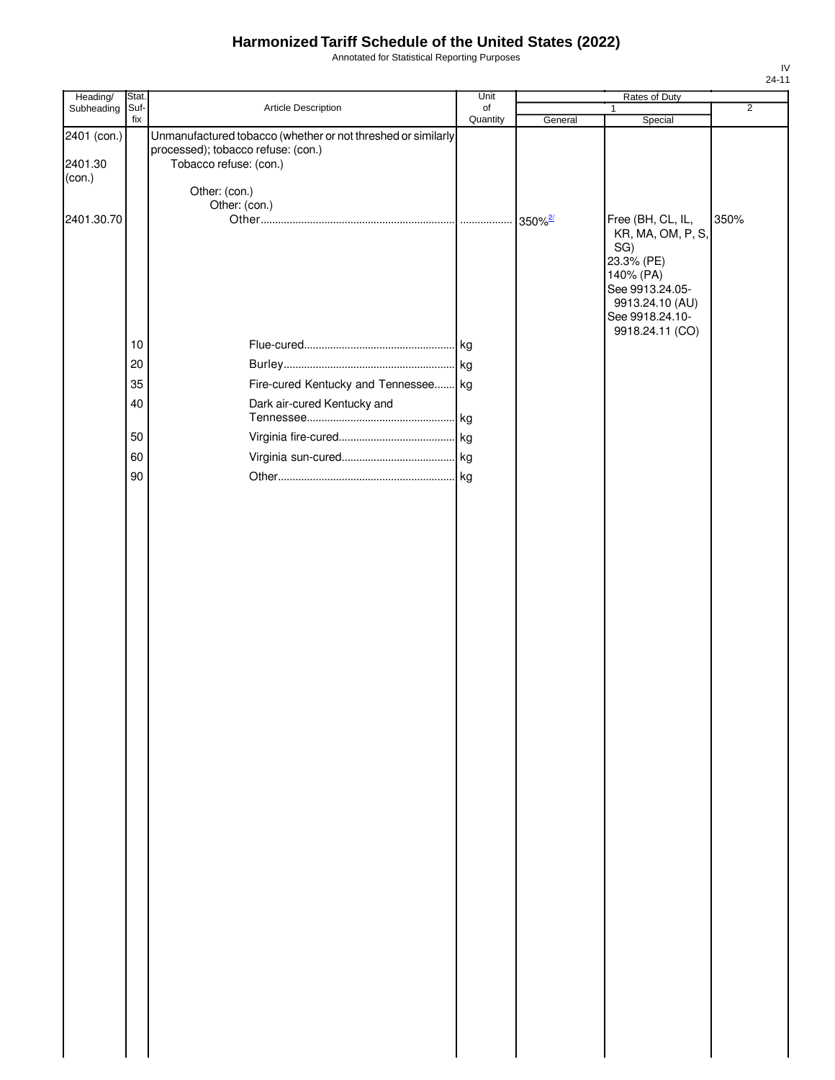Annotated for Statistical Reporting Purposes

| Heading/                         | Stat.       |                                                                                                                              | Unit           |                       | Rates of Duty                                                            |                |
|----------------------------------|-------------|------------------------------------------------------------------------------------------------------------------------------|----------------|-----------------------|--------------------------------------------------------------------------|----------------|
| Subheading                       | Suf-<br>fix | Article Description                                                                                                          | of<br>Quantity | General               | $\mathbf{1}$<br>Special                                                  | $\overline{2}$ |
| 2401 (con.)<br>2401.30<br>(con.) |             | Unmanufactured tobacco (whether or not threshed or similarly<br>processed); tobacco refuse: (con.)<br>Tobacco refuse: (con.) |                |                       |                                                                          |                |
|                                  |             | Other: (con.)<br>Other: (con.)                                                                                               |                |                       |                                                                          |                |
| 2401.30.70                       |             |                                                                                                                              |                | $350\%$ <sup>2/</sup> | Free (BH, CL, IL,<br>KR, MA, OM, P, S,<br>SG)<br>23.3% (PE)<br>140% (PA) | 350%           |
|                                  | 10          |                                                                                                                              |                |                       | See 9913.24.05-<br>9913.24.10 (AU)<br>See 9918.24.10-<br>9918.24.11 (CO) |                |
|                                  | 20          |                                                                                                                              |                |                       |                                                                          |                |
|                                  | 35          | Fire-cured Kentucky and Tennessee kg                                                                                         |                |                       |                                                                          |                |
|                                  | 40          | Dark air-cured Kentucky and                                                                                                  |                |                       |                                                                          |                |
|                                  |             |                                                                                                                              | . kg           |                       |                                                                          |                |
|                                  | 50          |                                                                                                                              |                |                       |                                                                          |                |
|                                  | 60          |                                                                                                                              |                |                       |                                                                          |                |
|                                  | 90          |                                                                                                                              |                |                       |                                                                          |                |
|                                  |             |                                                                                                                              |                |                       |                                                                          |                |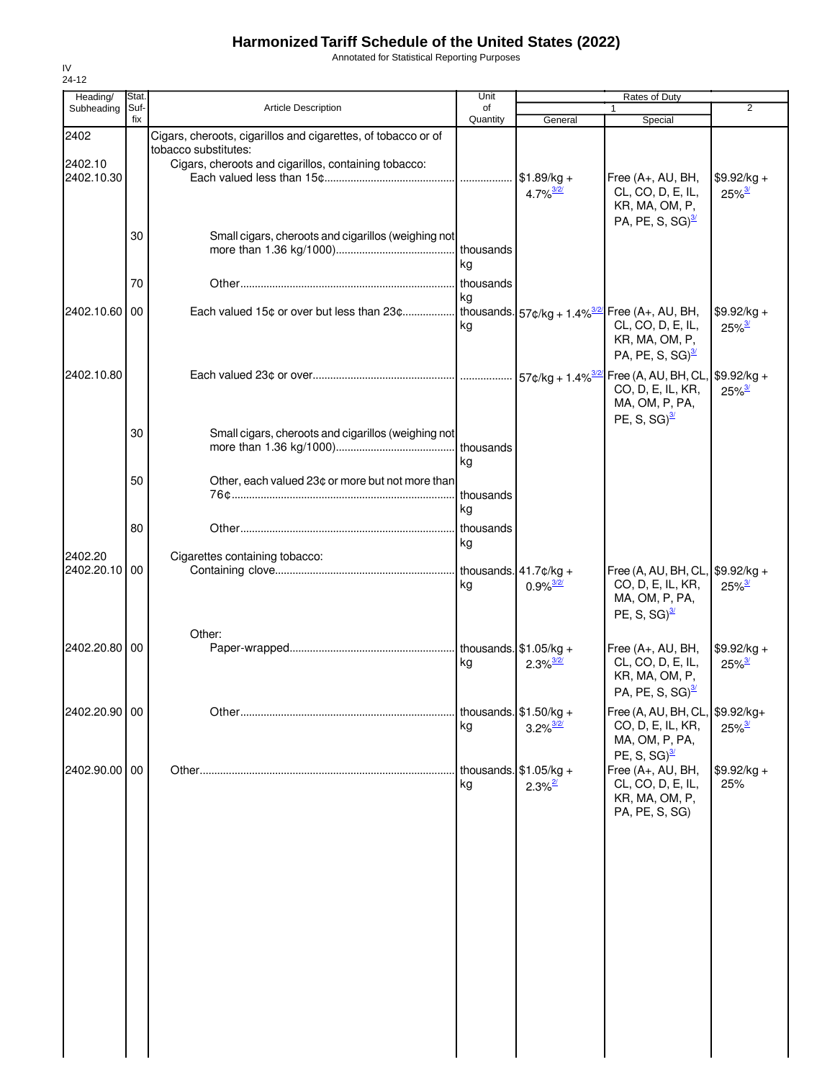Annotated for Statistical Reporting Purposes

| Heading/                 | Stat.       |                                                                                       | Unit            |                                                    | Rates of Duty                                                                                          |                                      |
|--------------------------|-------------|---------------------------------------------------------------------------------------|-----------------|----------------------------------------------------|--------------------------------------------------------------------------------------------------------|--------------------------------------|
| Subheading               | Suf-<br>fix | <b>Article Description</b>                                                            | of<br>Quantity  | General                                            | 1<br>Special                                                                                           | 2                                    |
| 2402                     |             | Cigars, cheroots, cigarillos and cigarettes, of tobacco or of<br>tobacco substitutes: |                 |                                                    |                                                                                                        |                                      |
| 2402.10<br>2402.10.30    |             | Cigars, cheroots and cigarillos, containing tobacco:                                  |                 | $$1.89/kg +$<br>$4.7\%$ <sup>3/2/</sup>            | Free (A+, AU, BH,<br>CL, CO, D, E, IL,<br>KR, MA, OM, P,                                               | $$9.92/kg +$<br>$25\%$ <sup>3/</sup> |
|                          | 30          | Small cigars, cheroots and cigarillos (weighing not                                   | kg              |                                                    | PA, PE, S, SG) $\frac{3}{2}$                                                                           |                                      |
|                          | 70          |                                                                                       | thousands       |                                                    |                                                                                                        |                                      |
| 2402.10.60 00            |             |                                                                                       | kg<br>kg        |                                                    | CL, CO, D, E, IL,<br>KR, MA, OM, P,<br>PA, PE, S, SG) $\frac{3}{2}$                                    | $$9.92/kg +$<br>$25\%$ <sup>3/</sup> |
| 2402.10.80               |             |                                                                                       |                 |                                                    | CO, D, E, IL, KR,<br>MA, OM, P, PA,<br>PE, S, SG) $\frac{3}{2}$                                        | $25\%$ <sup>3/</sup>                 |
|                          | 30          | Small cigars, cheroots and cigarillos (weighing not                                   | kg              |                                                    |                                                                                                        |                                      |
|                          | 50          | Other, each valued 23¢ or more but not more than                                      | thousands<br>ka |                                                    |                                                                                                        |                                      |
|                          | 80          |                                                                                       | thousands<br>kg |                                                    |                                                                                                        |                                      |
| 2402.20<br>2402.20.10 00 |             | Cigarettes containing tobacco:                                                        | kg              | $0.9\%$ <sup>3/2/</sup>                            | Free (A, AU, BH, CL, \$9.92/kg +<br>CO, D, E, IL, KR,<br>MA, OM, P, PA,<br>PE, S, SG) $\frac{3}{2}$    | $25\%$ <sup>3/</sup>                 |
| 2402.20.80 00            |             | Other:                                                                                | kg              | $2.3\%$ <sup>3/2/</sup>                            | Free (A+, AU, BH,<br>CL, CO, D, E, IL,<br>KR, MA, OM, P,<br>PA, PE, S, SG) $\frac{3}{2}$               | \$9.92/kg +<br>$25\%$ <sup>3/</sup>  |
| 2402.20.90 00            |             |                                                                                       | kg              | thousands. $$1.50/kg +$<br>$3.2\%$ <sup>3/2/</sup> | Free (A, AU, BH, CL, \$9.92/kg+<br>CO, D, E, IL, KR,<br>MA, OM, P, PA,                                 | $25\%$ <sup>3/</sup>                 |
| 2402.90.00 00            |             |                                                                                       | kg              | thousands. $$1.05/kg +$<br>$2.3\%$ <sup>2/</sup>   | PE, S, SG) $\frac{3}{2}$<br>Free (A+, AU, BH,<br>CL, CO, D, E, IL,<br>KR, MA, OM, P,<br>PA, PE, S, SG) | $$9.92/kg +$<br>25%                  |
|                          |             |                                                                                       |                 |                                                    |                                                                                                        |                                      |
|                          |             |                                                                                       |                 |                                                    |                                                                                                        |                                      |
|                          |             |                                                                                       |                 |                                                    |                                                                                                        |                                      |
|                          |             |                                                                                       |                 |                                                    |                                                                                                        |                                      |
|                          |             |                                                                                       |                 |                                                    |                                                                                                        |                                      |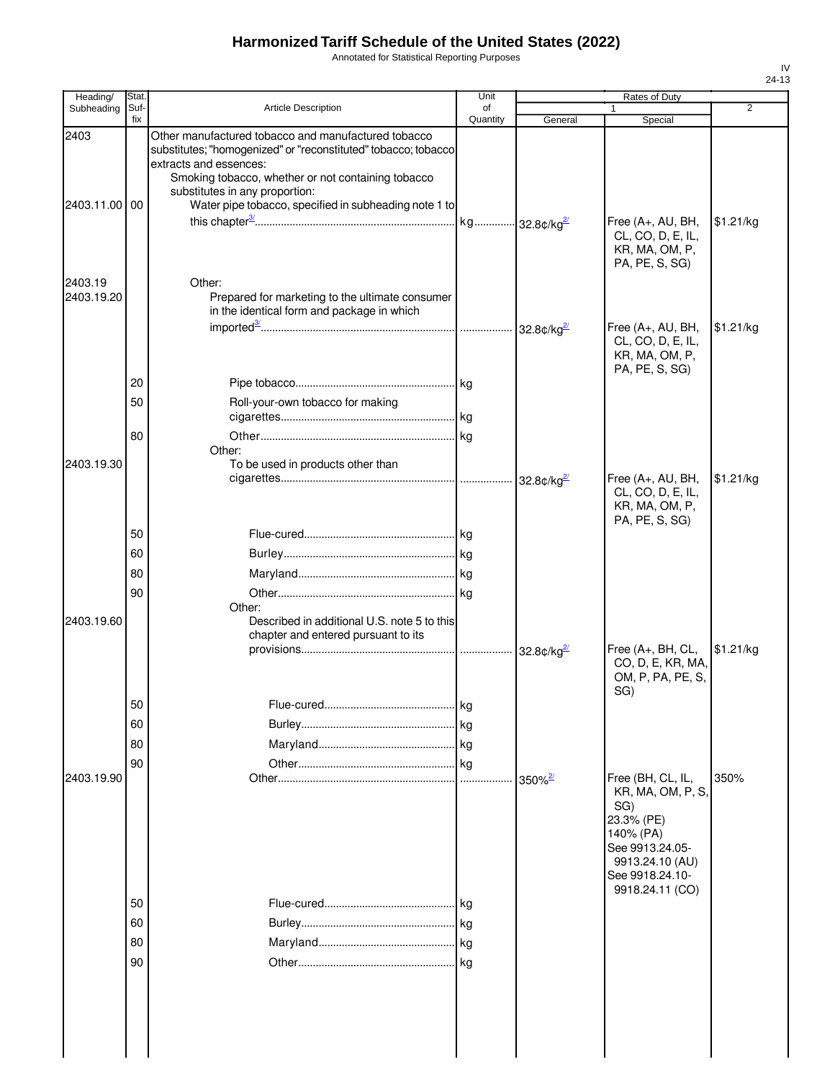Annotated for Statistical Reporting Purposes

| Heading/              | Stat.       |                                                                                                                                                                                                                                                                                                  | Unit           |                       | Rates of Duty                                                                                       |           |
|-----------------------|-------------|--------------------------------------------------------------------------------------------------------------------------------------------------------------------------------------------------------------------------------------------------------------------------------------------------|----------------|-----------------------|-----------------------------------------------------------------------------------------------------|-----------|
| Subheading            | Suf-<br>fix | Article Description                                                                                                                                                                                                                                                                              | of<br>Quantity | General               | 1<br>Special                                                                                        | 2         |
| 2403<br>2403.11.00    | 00          | Other manufactured tobacco and manufactured tobacco<br>substitutes; "homogenized" or "reconstituted" tobacco; tobacco<br>extracts and essences:<br>Smoking tobacco, whether or not containing tobacco<br>substitutes in any proportion:<br>Water pipe tobacco, specified in subheading note 1 to |                |                       |                                                                                                     |           |
|                       |             |                                                                                                                                                                                                                                                                                                  |                |                       | Free (A+, AU, BH,<br>CL, CO, D, E, IL,<br>KR, MA, OM, P,<br>PA, PE, S, SG)                          | \$1.21/kg |
| 2403.19<br>2403.19.20 |             | Other:<br>Prepared for marketing to the ultimate consumer<br>in the identical form and package in which                                                                                                                                                                                          |                |                       | Free (A+, AU, BH,                                                                                   | \$1.21/kg |
|                       |             |                                                                                                                                                                                                                                                                                                  |                |                       | CL, CO, D, E, IL,<br>KR, MA, OM, P,<br>PA, PE, S, SG)                                               |           |
|                       | 20          |                                                                                                                                                                                                                                                                                                  |                |                       |                                                                                                     |           |
|                       | 50          | Roll-your-own tobacco for making                                                                                                                                                                                                                                                                 |                |                       |                                                                                                     |           |
|                       | 80          |                                                                                                                                                                                                                                                                                                  |                |                       |                                                                                                     |           |
|                       |             | Other:                                                                                                                                                                                                                                                                                           |                |                       |                                                                                                     |           |
| 2403.19.30            |             | To be used in products other than                                                                                                                                                                                                                                                                |                |                       | Free (A+, AU, BH,<br>CL, CO, D, E, IL,<br>KR, MA, OM, P,                                            | \$1.21/kg |
|                       | 50          |                                                                                                                                                                                                                                                                                                  |                |                       | PA, PE, S, SG)                                                                                      |           |
|                       | 60          |                                                                                                                                                                                                                                                                                                  |                |                       |                                                                                                     |           |
|                       | 80          |                                                                                                                                                                                                                                                                                                  |                |                       |                                                                                                     |           |
|                       | 90          |                                                                                                                                                                                                                                                                                                  |                |                       |                                                                                                     |           |
|                       |             | Other:                                                                                                                                                                                                                                                                                           |                |                       |                                                                                                     |           |
| 2403.19.60            |             | Described in additional U.S. note 5 to this<br>chapter and entered pursuant to its                                                                                                                                                                                                               |                | 32.8 $\text{C/kg}^2$  | Free (A+, BH, CL,<br>CO, D, E, KR, MA,                                                              | \$1.21/kg |
|                       | 50          |                                                                                                                                                                                                                                                                                                  | l kg           |                       | OM, P, PA, PE, S,<br>SG)                                                                            |           |
|                       | 60          |                                                                                                                                                                                                                                                                                                  |                |                       |                                                                                                     |           |
|                       | 80          |                                                                                                                                                                                                                                                                                                  |                |                       |                                                                                                     |           |
|                       | 90          |                                                                                                                                                                                                                                                                                                  |                |                       |                                                                                                     |           |
| 2403.19.90            |             |                                                                                                                                                                                                                                                                                                  | .lkg           | $350\%$ <sup>2/</sup> | Free (BH, CL, IL,<br>KR, MA, OM, P, S,<br>SG)                                                       | 350%      |
|                       | 50          |                                                                                                                                                                                                                                                                                                  | kg             |                       | 23.3% (PE)<br>140% (PA)<br>See 9913.24.05-<br>9913.24.10 (AU)<br>See 9918.24.10-<br>9918.24.11 (CO) |           |
|                       | 60          |                                                                                                                                                                                                                                                                                                  | kg             |                       |                                                                                                     |           |
|                       | 80          |                                                                                                                                                                                                                                                                                                  |                |                       |                                                                                                     |           |
|                       | 90          |                                                                                                                                                                                                                                                                                                  |                |                       |                                                                                                     |           |
|                       |             |                                                                                                                                                                                                                                                                                                  |                |                       |                                                                                                     |           |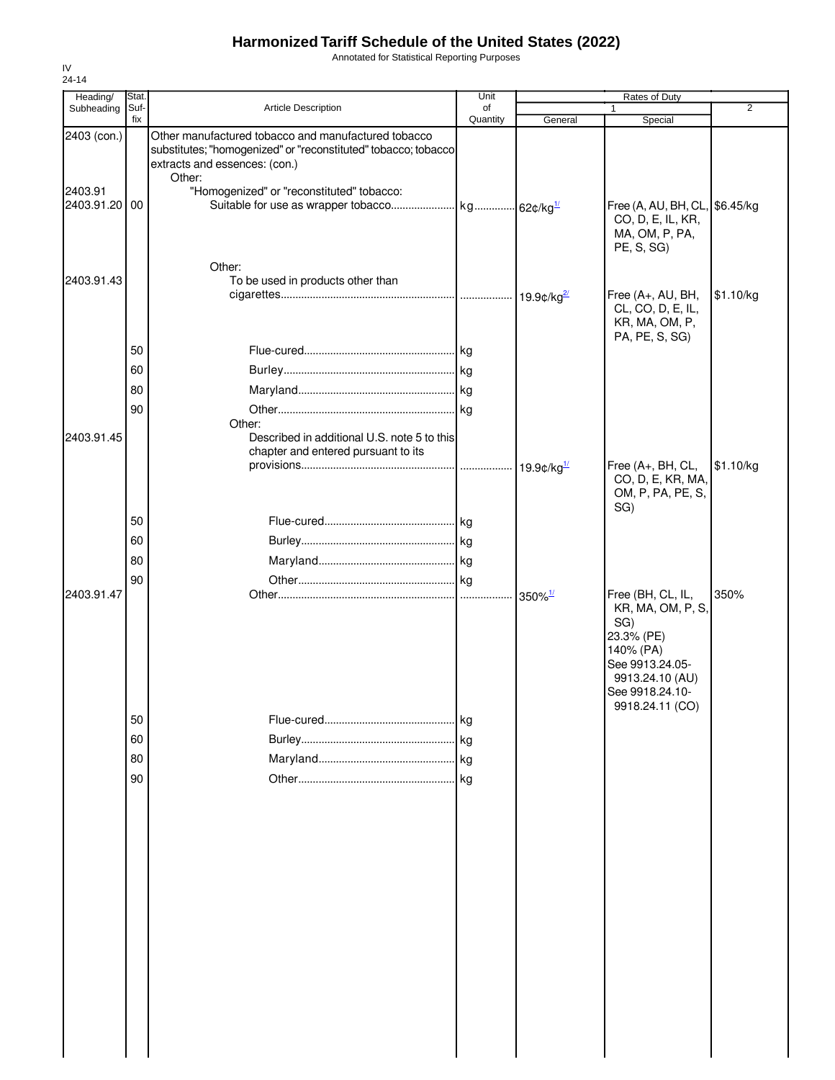Annotated for Statistical Reporting Purposes

| Heading/              | Stat.       |                                                                                                                                                        | Unit           |                           | Rates of Duty                                                                                                                                        |                |
|-----------------------|-------------|--------------------------------------------------------------------------------------------------------------------------------------------------------|----------------|---------------------------|------------------------------------------------------------------------------------------------------------------------------------------------------|----------------|
| Subheading            | Suf-<br>fix | Article Description                                                                                                                                    | of<br>Quantity | General                   | $\mathbf{1}$                                                                                                                                         | $\overline{2}$ |
| 2403 (con.)           |             | Other manufactured tobacco and manufactured tobacco<br>substitutes; "homogenized" or "reconstituted" tobacco; tobacco<br>extracts and essences: (con.) |                |                           | Special                                                                                                                                              |                |
| 2403.91<br>2403.91.20 | 00          | Other:<br>"Homogenized" or "reconstituted" tobacco:                                                                                                    |                |                           | Free (A, AU, BH, CL, \$6.45/kg<br>CO, D, E, IL, KR,<br>MA, OM, P, PA,<br>PE, S, SG)                                                                  |                |
| 2403.91.43            |             | Other:<br>To be used in products other than                                                                                                            |                |                           | Free (A+, AU, BH,<br>CL, CO, D, E, IL,<br>KR, MA, OM, P,                                                                                             | \$1.10/kg      |
|                       | 50          |                                                                                                                                                        |                |                           | PA, PE, S, SG)                                                                                                                                       |                |
|                       | 60          |                                                                                                                                                        |                |                           |                                                                                                                                                      |                |
|                       | 80          |                                                                                                                                                        |                |                           |                                                                                                                                                      |                |
|                       | 90          |                                                                                                                                                        |                |                           |                                                                                                                                                      |                |
| 2403.91.45            |             | Other:<br>Described in additional U.S. note 5 to this<br>chapter and entered pursuant to its                                                           |                |                           |                                                                                                                                                      |                |
|                       |             |                                                                                                                                                        |                | $19.9$ ¢/kg $\frac{1}{2}$ | Free (A+, BH, CL,<br>CO, D, E, KR, MA,<br>OM, P, PA, PE, S,<br>SG)                                                                                   | \$1.10/kg      |
|                       | 50          |                                                                                                                                                        |                |                           |                                                                                                                                                      |                |
|                       | 60          |                                                                                                                                                        |                |                           |                                                                                                                                                      |                |
|                       | 80          |                                                                                                                                                        |                |                           |                                                                                                                                                      |                |
|                       | 90          |                                                                                                                                                        |                |                           |                                                                                                                                                      |                |
| 2403.91.47            |             |                                                                                                                                                        |                | $350\%$ <sup>1/</sup>     | Free (BH, CL, IL,<br>KR, MA, OM, P, S,<br>SG)<br>23.3% (PE)<br>140% (PA)<br>See 9913.24.05-<br>9913.24.10 (AU)<br>See 9918.24.10-<br>9918.24.11 (CO) | 350%           |
|                       | 50          |                                                                                                                                                        | <b>kg</b>      |                           |                                                                                                                                                      |                |
|                       | 60          |                                                                                                                                                        |                |                           |                                                                                                                                                      |                |
|                       | 80          |                                                                                                                                                        | kg             |                           |                                                                                                                                                      |                |
|                       | 90          |                                                                                                                                                        |                |                           |                                                                                                                                                      |                |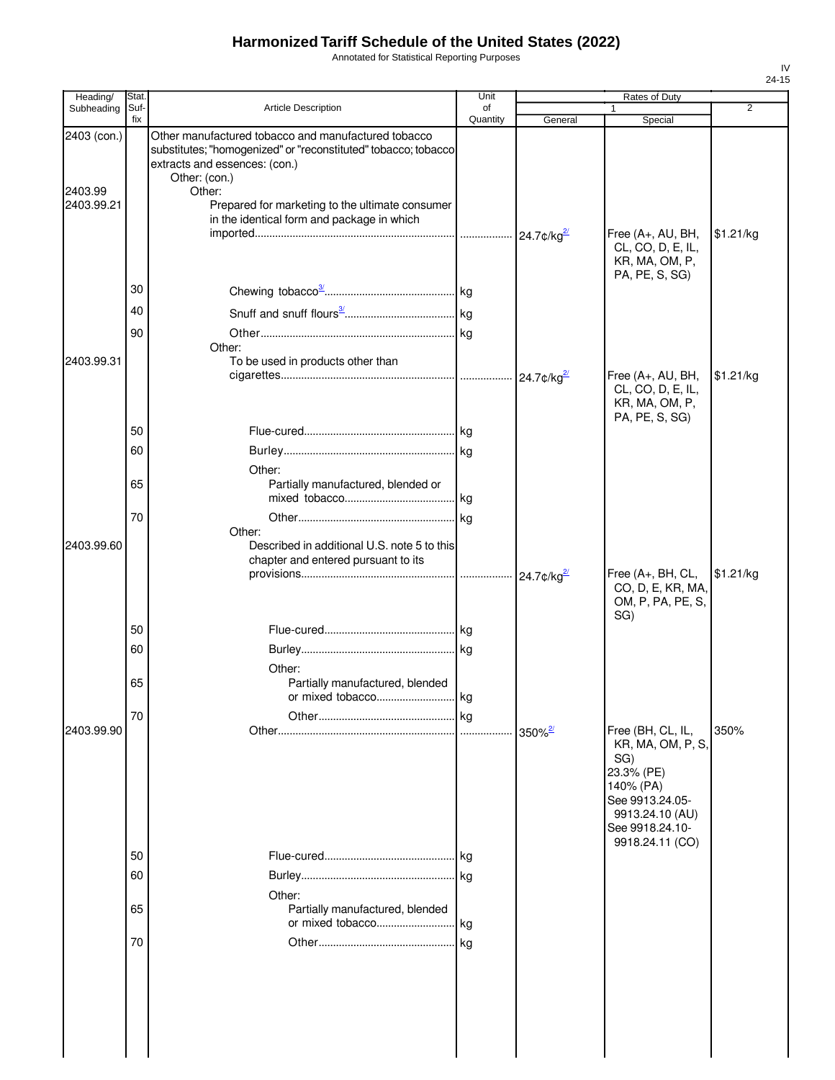Annotated for Statistical Reporting Purposes

| Heading/                             | Stat.<br>Suf-<br>fix | <b>Article Description</b>                                                                                                                                                                                                                                                         | Unit           | Rates of Duty |                                                                                                                                   |                |  |
|--------------------------------------|----------------------|------------------------------------------------------------------------------------------------------------------------------------------------------------------------------------------------------------------------------------------------------------------------------------|----------------|---------------|-----------------------------------------------------------------------------------------------------------------------------------|----------------|--|
| Subheading                           |                      |                                                                                                                                                                                                                                                                                    | of<br>Quantity | General       | Special                                                                                                                           | $\overline{2}$ |  |
| 2403 (con.)<br>2403.99<br>2403.99.21 |                      | Other manufactured tobacco and manufactured tobacco<br>substitutes; "homogenized" or "reconstituted" tobacco; tobacco<br>extracts and essences: (con.)<br>Other: (con.)<br>Other:<br>Prepared for marketing to the ultimate consumer<br>in the identical form and package in which |                |               | Free (A+, AU, BH,<br>CL, CO, D, E, IL,<br>KR, MA, OM, P,                                                                          | \$1.21/kg      |  |
|                                      | 30                   |                                                                                                                                                                                                                                                                                    |                |               | PA, PE, S, SG)                                                                                                                    |                |  |
|                                      | 40                   |                                                                                                                                                                                                                                                                                    |                |               |                                                                                                                                   |                |  |
| 2403.99.31                           | 90                   | Other:<br>To be used in products other than                                                                                                                                                                                                                                        |                |               | Free (A+, AU, BH,                                                                                                                 | \$1.21/kg      |  |
|                                      | 50                   |                                                                                                                                                                                                                                                                                    |                |               | CL, CO, D, E, IL,<br>KR, MA, OM, P,<br>PA, PE, S, SG)                                                                             |                |  |
|                                      | 60<br>65             | Other:<br>Partially manufactured, blended or                                                                                                                                                                                                                                       |                |               |                                                                                                                                   |                |  |
| 2403.99.60                           | 70                   | Other:<br>Described in additional U.S. note 5 to this<br>chapter and entered pursuant to its                                                                                                                                                                                       |                |               |                                                                                                                                   |                |  |
|                                      |                      |                                                                                                                                                                                                                                                                                    |                |               | Free (A+, BH, CL,<br>CO, D, E, KR, MA,<br>OM, P, PA, PE, S,<br>SG)                                                                | \$1.21/kg      |  |
|                                      | 50<br>60             |                                                                                                                                                                                                                                                                                    |                |               |                                                                                                                                   |                |  |
|                                      | 65                   | Other:<br>Partially manufactured, blended                                                                                                                                                                                                                                          |                |               |                                                                                                                                   |                |  |
|                                      | 70                   | or mixed tobacco kg                                                                                                                                                                                                                                                                |                |               |                                                                                                                                   |                |  |
| 2403.99.90                           |                      |                                                                                                                                                                                                                                                                                    | kg             |               | Free (BH, CL, IL,<br>KR, MA, OM, P, S,<br>SG)<br>23.3% (PE)<br>140% (PA)<br>See 9913.24.05-<br>9913.24.10 (AU)<br>See 9918.24.10- | 350%           |  |
|                                      | 50                   |                                                                                                                                                                                                                                                                                    |                |               | 9918.24.11 (CO)                                                                                                                   |                |  |
|                                      | 60                   | Other:                                                                                                                                                                                                                                                                             |                |               |                                                                                                                                   |                |  |
|                                      | 65                   | Partially manufactured, blended                                                                                                                                                                                                                                                    |                |               |                                                                                                                                   |                |  |
|                                      | 70                   |                                                                                                                                                                                                                                                                                    |                |               |                                                                                                                                   |                |  |
|                                      |                      |                                                                                                                                                                                                                                                                                    |                |               |                                                                                                                                   |                |  |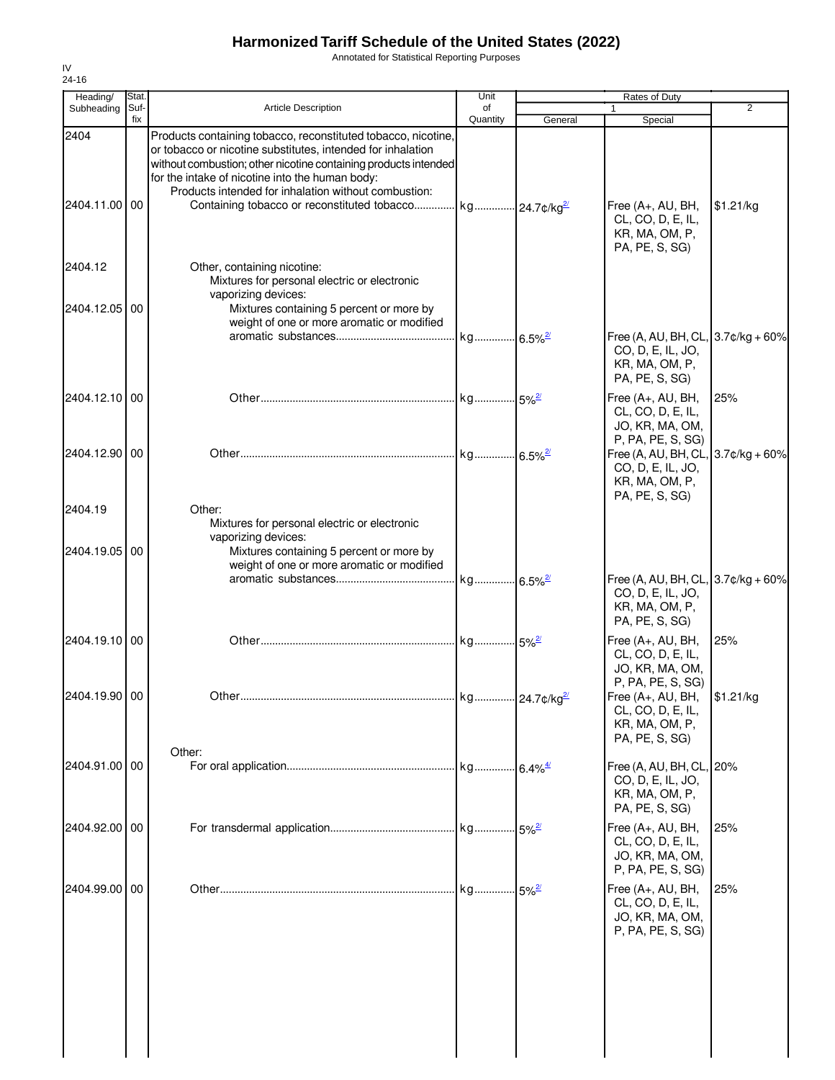Annotated for Statistical Reporting Purposes

| Heading/                 | Stat.       |                                                                                                                                                                                                                                                                                                                                                                                         | Unit           |                        | Rates of Duty                                                                                   |           |
|--------------------------|-------------|-----------------------------------------------------------------------------------------------------------------------------------------------------------------------------------------------------------------------------------------------------------------------------------------------------------------------------------------------------------------------------------------|----------------|------------------------|-------------------------------------------------------------------------------------------------|-----------|
| Subheading               | Suf-<br>fix | <b>Article Description</b>                                                                                                                                                                                                                                                                                                                                                              | of<br>Quantity | General                | $\mathbf{1}$<br>Special                                                                         | 2         |
| 2404<br>2404.11.00 00    |             | Products containing tobacco, reconstituted tobacco, nicotine,<br>or tobacco or nicotine substitutes, intended for inhalation<br>without combustion; other nicotine containing products intended<br>for the intake of nicotine into the human body:<br>Products intended for inhalation without combustion:<br>Containing tobacco or reconstituted tobacco   kg   24.7¢/kg <sup>2/</sup> |                |                        | Free (A+, AU, BH,<br>CL, CO, D, E, IL,<br>KR, MA, OM, P,<br>PA, PE, S, SG)                      | \$1.21/kg |
| 2404.12<br>2404.12.05 00 |             | Other, containing nicotine:<br>Mixtures for personal electric or electronic<br>vaporizing devices:<br>Mixtures containing 5 percent or more by                                                                                                                                                                                                                                          |                |                        |                                                                                                 |           |
|                          |             | weight of one or more aromatic or modified                                                                                                                                                                                                                                                                                                                                              |                |                        | Free (A, AU, BH, CL, 3.7¢/kg + 60%<br>CO, D, E, IL, JO,<br>KR, MA, OM, P,<br>PA, PE, S, SG)     |           |
| 2404.12.10 00            |             |                                                                                                                                                                                                                                                                                                                                                                                         |                |                        | Free (A+, AU, BH,<br>CL, CO, D, E, IL,<br>JO, KR, MA, OM,<br>P, PA, PE, S, SG)                  | 25%       |
| 2404.12.90 00            |             |                                                                                                                                                                                                                                                                                                                                                                                         |                |                        | Free (A, AU, BH, CL, 3.7¢/kg + 60%<br>CO, D, E, IL, JO,<br>KR, MA, OM, P,<br>PA, PE, S, SG)     |           |
| 2404.19                  |             | Other:<br>Mixtures for personal electric or electronic<br>vaporizing devices:                                                                                                                                                                                                                                                                                                           |                |                        |                                                                                                 |           |
| 2404.19.05 00            |             | Mixtures containing 5 percent or more by<br>weight of one or more aromatic or modified                                                                                                                                                                                                                                                                                                  |                |                        | Free (A, AU, BH, CL, 3.7¢/kg + 60%<br>CO, D, E, IL, JO,<br>KR, MA, OM, P,<br>PA, PE, S, SG)     |           |
| 2404.19.10 00            |             |                                                                                                                                                                                                                                                                                                                                                                                         |                |                        | Free (A+, AU, BH,<br>CL, CO, D, E, IL,<br>JO, KR, MA, OM,                                       | 25%       |
| 2404.19.90 00            |             | Other                                                                                                                                                                                                                                                                                                                                                                                   | kg.            | 24.7¢/kg <sup>2/</sup> | P, PA, PE, S, SG)<br>Free (A+, AU, BH,<br>CL, CO, D, E, IL,<br>KR, MA, OM, P,<br>PA, PE, S, SG) | \$1.21/kg |
| 2404.91.00 00            |             | Other:                                                                                                                                                                                                                                                                                                                                                                                  |                |                        | Free (A, AU, BH, CL, 20%<br>CO, D, E, IL, JO,<br>KR, MA, OM, P,<br>PA, PE, S, SG)               |           |
| 2404.92.00 00            |             |                                                                                                                                                                                                                                                                                                                                                                                         |                |                        | Free (A+, AU, BH,<br>CL, CO, D, E, IL,<br>JO, KR, MA, OM,<br>P, PA, PE, S, SG)                  | 25%       |
| 2404.99.00 00            |             |                                                                                                                                                                                                                                                                                                                                                                                         |                |                        | Free (A+, AU, BH,<br>CL, CO, D, E, IL,<br>JO, KR, MA, OM,<br>P, PA, PE, S, SG)                  | 25%       |